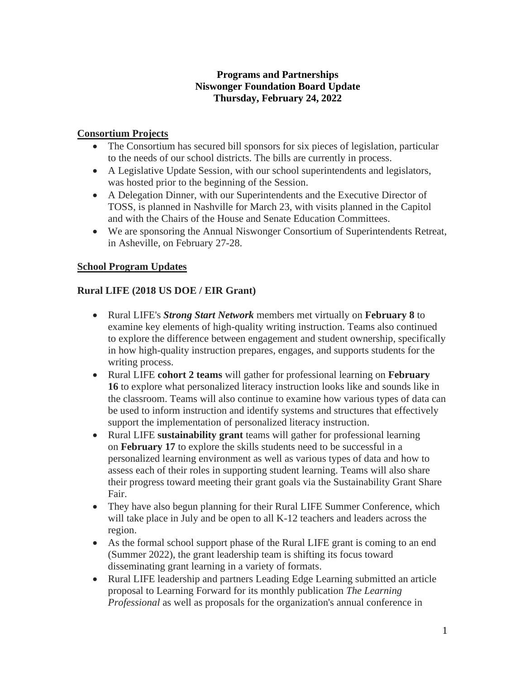#### **Programs and Partnerships Niswonger Foundation Board Update Thursday, February 24, 2022**

#### **Consortium Projects**

- The Consortium has secured bill sponsors for six pieces of legislation, particular to the needs of our school districts. The bills are currently in process.
- A Legislative Update Session, with our school superintendents and legislators, was hosted prior to the beginning of the Session.
- A Delegation Dinner, with our Superintendents and the Executive Director of TOSS, is planned in Nashville for March 23, with visits planned in the Capitol and with the Chairs of the House and Senate Education Committees.
- We are sponsoring the Annual Niswonger Consortium of Superintendents Retreat, in Asheville, on February 27-28.

## **School Program Updates**

## **Rural LIFE (2018 US DOE / EIR Grant)**

- Rural LIFE's *Strong Start Network* members met virtually on **February 8** to examine key elements of high-quality writing instruction. Teams also continued to explore the difference between engagement and student ownership, specifically in how high-quality instruction prepares, engages, and supports students for the writing process.
- Rural LIFE **cohort 2 teams** will gather for professional learning on **February 16** to explore what personalized literacy instruction looks like and sounds like in the classroom. Teams will also continue to examine how various types of data can be used to inform instruction and identify systems and structures that effectively support the implementation of personalized literacy instruction.
- Rural LIFE **sustainability grant** teams will gather for professional learning on **February 17** to explore the skills students need to be successful in a personalized learning environment as well as various types of data and how to assess each of their roles in supporting student learning. Teams will also share their progress toward meeting their grant goals via the Sustainability Grant Share Fair.
- They have also begun planning for their Rural LIFE Summer Conference, which will take place in July and be open to all K-12 teachers and leaders across the region.
- As the formal school support phase of the Rural LIFE grant is coming to an end (Summer 2022), the grant leadership team is shifting its focus toward disseminating grant learning in a variety of formats.
- Rural LIFE leadership and partners Leading Edge Learning submitted an article proposal to Learning Forward for its monthly publication *The Learning Professional* as well as proposals for the organization's annual conference in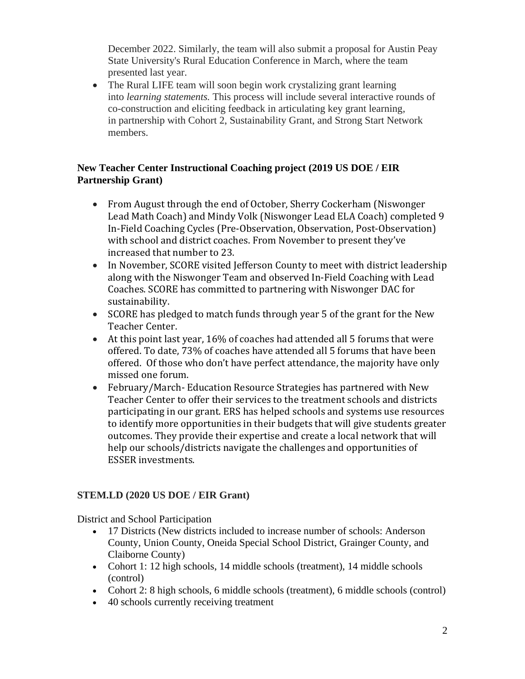December 2022. Similarly, the team will also submit a proposal for Austin Peay State University's Rural Education Conference in March, where the team presented last year.

• The Rural LIFE team will soon begin work crystalizing grant learning into *learning statements.* This process will include several interactive rounds of co-construction and eliciting feedback in articulating key grant learning, in partnership with Cohort 2, Sustainability Grant, and Strong Start Network members.

## **New Teacher Center Instructional Coaching project (2019 US DOE / EIR Partnership Grant)**

- From August through the end of October, Sherry Cockerham (Niswonger) Lead Math Coach) and Mindy Volk (Niswonger Lead ELA Coach) completed 9 In-Field Coaching Cycles (Pre-Observation, Observation, Post-Observation) with school and district coaches. From November to present they've increased that number to 23.
- In November, SCORE visited Jefferson County to meet with district leadership along with the Niswonger Team and observed In-Field Coaching with Lead Coaches. SCORE has committed to partnering with Niswonger DAC for sustainability.
- SCORE has pledged to match funds through year 5 of the grant for the New Teacher Center.
- At this point last year, 16% of coaches had attended all 5 forums that were offered. To date, 73% of coaches have attended all 5 forums that have been offered. Of those who don't have perfect attendance, the majority have only missed one forum.
- February/March- Education Resource Strategies has partnered with New Teacher Center to offer their services to the treatment schools and districts participating in our grant. ERS has helped schools and systems use resources to identify more opportunities in their budgets that will give students greater outcomes. They provide their expertise and create a local network that will help our schools/districts navigate the challenges and opportunities of ESSER investments.

# **STEM.LD (2020 US DOE / EIR Grant)**

District and School Participation

- 17 Districts (New districts included to increase number of schools: Anderson County, Union County, Oneida Special School District, Grainger County, and Claiborne County)
- Cohort 1: 12 high schools, 14 middle schools (treatment), 14 middle schools (control)
- Cohort 2: 8 high schools, 6 middle schools (treatment), 6 middle schools (control)
- 40 schools currently receiving treatment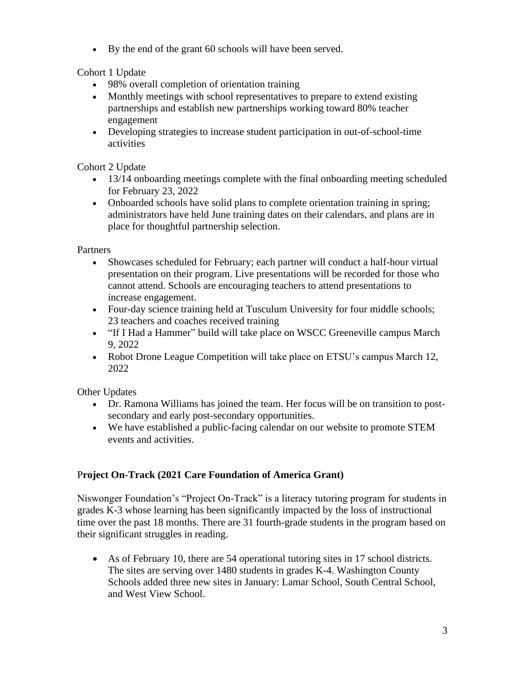• By the end of the grant 60 schools will have been served.

Cohort 1 Update

- 98% overall completion of orientation training
- Monthly meetings with school representatives to prepare to extend existing partnerships and establish new partnerships working toward 80% teacher engagement
- Developing strategies to increase student participation in out-of-school-time activities

Cohort 2 Update

- 13/14 onboarding meetings complete with the final onboarding meeting scheduled for February 23, 2022
- Onboarded schools have solid plans to complete orientation training in spring; administrators have held June training dates on their calendars, and plans are in place for thoughtful partnership selection.

**Partners** 

- Showcases scheduled for February; each partner will conduct a half-hour virtual presentation on their program. Live presentations will be recorded for those who cannot attend. Schools are encouraging teachers to attend presentations to increase engagement.
- Four-day science training held at Tusculum University for four middle schools; 23 teachers and coaches received training
- "If I Had a Hammer" build will take place on WSCC Greeneville campus March 9, 2022
- Robot Drone League Competition will take place on ETSU's campus March 12, 2022

Other Updates

- Dr. Ramona Williams has joined the team. Her focus will be on transition to postsecondary and early post-secondary opportunities.
- We have established a public-facing calendar on our website to promote STEM events and activities.

# P**roject On-Track (2021 Care Foundation of America Grant)**

Niswonger Foundation's "Project On-Track" is a literacy tutoring program for students in grades K-3 whose learning has been significantly impacted by the loss of instructional time over the past 18 months. There are 31 fourth-grade students in the program based on their significant struggles in reading.

• As of February 10, there are 54 operational tutoring sites in 17 school districts. The sites are serving over 1480 students in grades K-4. Washington County Schools added three new sites in January: Lamar School, South Central School, and West View School.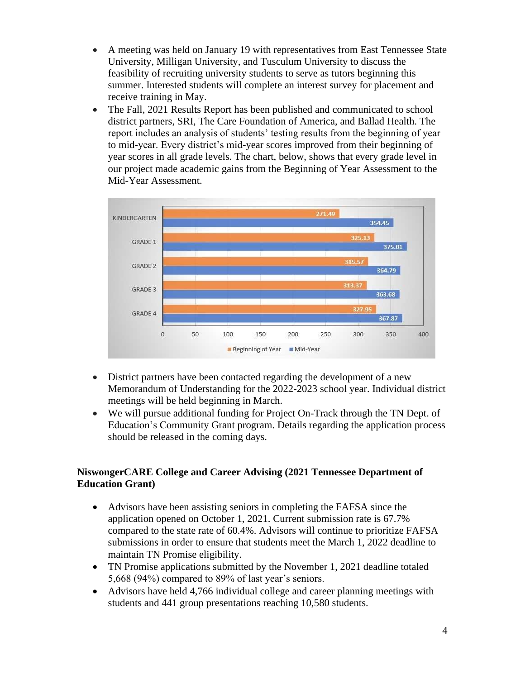- A meeting was held on January 19 with representatives from East Tennessee State University, Milligan University, and Tusculum University to discuss the feasibility of recruiting university students to serve as tutors beginning this summer. Interested students will complete an interest survey for placement and receive training in May.
- The Fall, 2021 Results Report has been published and communicated to school district partners, SRI, The Care Foundation of America, and Ballad Health. The report includes an analysis of students' testing results from the beginning of year to mid-year. Every district's mid-year scores improved from their beginning of year scores in all grade levels. The chart, below, shows that every grade level in our project made academic gains from the Beginning of Year Assessment to the Mid-Year Assessment.



- District partners have been contacted regarding the development of a new Memorandum of Understanding for the 2022-2023 school year. Individual district meetings will be held beginning in March.
- We will pursue additional funding for Project On-Track through the TN Dept. of Education's Community Grant program. Details regarding the application process should be released in the coming days.

## **NiswongerCARE College and Career Advising (2021 Tennessee Department of Education Grant)**

- Advisors have been assisting seniors in completing the FAFSA since the application opened on October 1, 2021. Current submission rate is 67.7% compared to the state rate of 60.4%. Advisors will continue to prioritize FAFSA submissions in order to ensure that students meet the March 1, 2022 deadline to maintain TN Promise eligibility.
- TN Promise applications submitted by the November 1, 2021 deadline totaled 5,668 (94%) compared to 89% of last year's seniors.
- Advisors have held 4,766 individual college and career planning meetings with students and 441 group presentations reaching 10,580 students.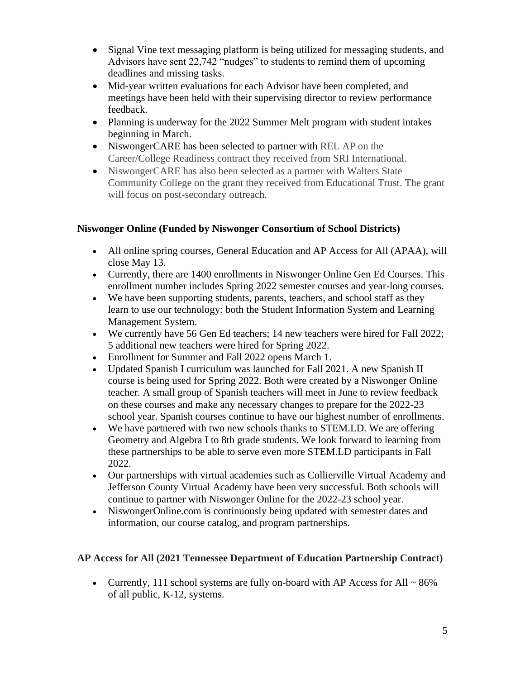- Signal Vine text messaging platform is being utilized for messaging students, and Advisors have sent 22,742 "nudges" to students to remind them of upcoming deadlines and missing tasks.
- Mid-year written evaluations for each Advisor have been completed, and meetings have been held with their supervising director to review performance feedback.
- Planning is underway for the 2022 Summer Melt program with student intakes beginning in March.
- NiswongerCARE has been selected to partner with REL AP on the Career/College Readiness contract they received from SRI International.
- NiswongerCARE has also been selected as a partner with Walters State Community College on the grant they received from Educational Trust. The grant will focus on post-secondary outreach.

# **Niswonger Online (Funded by Niswonger Consortium of School Districts)**

- All online spring courses, General Education and AP Access for All (APAA), will close May 13.
- Currently, there are 1400 enrollments in Niswonger Online Gen Ed Courses. This enrollment number includes Spring 2022 semester courses and year-long courses.
- We have been supporting students, parents, teachers, and school staff as they learn to use our technology: both the Student Information System and Learning Management System.
- We currently have 56 Gen Ed teachers; 14 new teachers were hired for Fall 2022; 5 additional new teachers were hired for Spring 2022.
- Enrollment for Summer and Fall 2022 opens March 1.
- Updated Spanish I curriculum was launched for Fall 2021. A new Spanish II course is being used for Spring 2022. Both were created by a Niswonger Online teacher. A small group of Spanish teachers will meet in June to review feedback on these courses and make any necessary changes to prepare for the 2022-23 school year. Spanish courses continue to have our highest number of enrollments.
- We have partnered with two new schools thanks to STEM.LD. We are offering Geometry and Algebra I to 8th grade students. We look forward to learning from these partnerships to be able to serve even more STEM.LD participants in Fall 2022.
- Our partnerships with virtual academies such as Collierville Virtual Academy and Jefferson County Virtual Academy have been very successful. Both schools will continue to partner with Niswonger Online for the 2022-23 school year.
- NiswongerOnline.com is continuously being updated with semester dates and information, our course catalog, and program partnerships.

#### **AP Access for All (2021 Tennessee Department of Education Partnership Contract)**

• Currently, 111 school systems are fully on-board with AP Access for All  $\sim 86\%$ of all public, K-12, systems.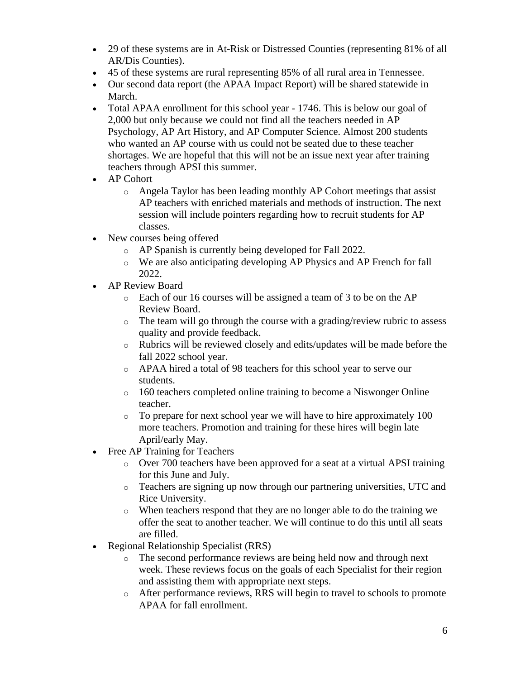- 29 of these systems are in At-Risk or Distressed Counties (representing 81% of all AR/Dis Counties).
- 45 of these systems are rural representing 85% of all rural area in Tennessee.
- Our second data report (the APAA Impact Report) will be shared statewide in March.
- Total APAA enrollment for this school year 1746. This is below our goal of 2,000 but only because we could not find all the teachers needed in AP Psychology, AP Art History, and AP Computer Science. Almost 200 students who wanted an AP course with us could not be seated due to these teacher shortages. We are hopeful that this will not be an issue next year after training teachers through APSI this summer.
- AP Cohort
	- o Angela Taylor has been leading monthly AP Cohort meetings that assist AP teachers with enriched materials and methods of instruction. The next session will include pointers regarding how to recruit students for AP classes.
- New courses being offered
	- o AP Spanish is currently being developed for Fall 2022.
	- o We are also anticipating developing AP Physics and AP French for fall 2022.
- AP Review Board
	- o Each of our 16 courses will be assigned a team of 3 to be on the AP Review Board.
	- o The team will go through the course with a grading/review rubric to assess quality and provide feedback.
	- o Rubrics will be reviewed closely and edits/updates will be made before the fall 2022 school year.
	- o APAA hired a total of 98 teachers for this school year to serve our students.
	- o 160 teachers completed online training to become a Niswonger Online teacher.
	- o To prepare for next school year we will have to hire approximately 100 more teachers. Promotion and training for these hires will begin late April/early May.
- Free AP Training for Teachers
	- o Over 700 teachers have been approved for a seat at a virtual APSI training for this June and July.
	- o Teachers are signing up now through our partnering universities, UTC and Rice University.
	- o When teachers respond that they are no longer able to do the training we offer the seat to another teacher. We will continue to do this until all seats are filled.
- Regional Relationship Specialist (RRS)
	- o The second performance reviews are being held now and through next week. These reviews focus on the goals of each Specialist for their region and assisting them with appropriate next steps.
	- o After performance reviews, RRS will begin to travel to schools to promote APAA for fall enrollment.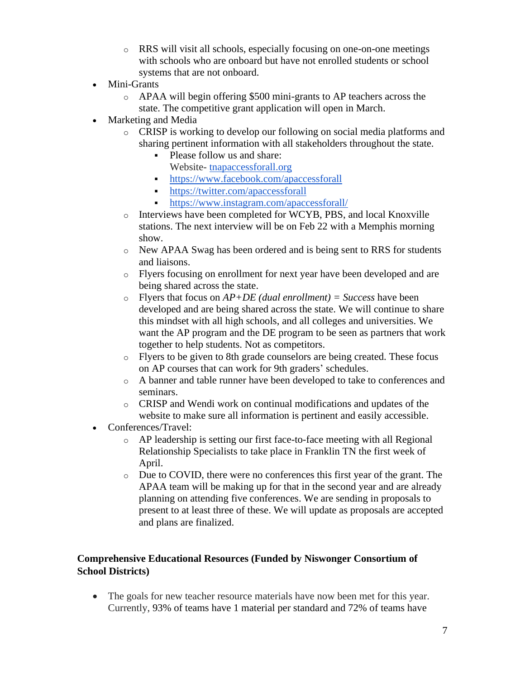- o RRS will visit all schools, especially focusing on one-on-one meetings with schools who are onboard but have not enrolled students or school systems that are not onboard.
- Mini-Grants
	- o APAA will begin offering \$500 mini-grants to AP teachers across the state. The competitive grant application will open in March.
- Marketing and Media
	- o CRISP is working to develop our following on social media platforms and sharing pertinent information with all stakeholders throughout the state.
		- Please follow us and share: Website- [tnapaccessforall.org](http://tnapaccessforall.org/)
		- <https://www.facebook.com/apaccessforall>
		- <https://twitter.com/apaccessforall>
		- <https://www.instagram.com/apaccessforall/>
	- o Interviews have been completed for WCYB, PBS, and local Knoxville stations. The next interview will be on Feb 22 with a Memphis morning show.
	- o New APAA Swag has been ordered and is being sent to RRS for students and liaisons.
	- o Flyers focusing on enrollment for next year have been developed and are being shared across the state.
	- o Flyers that focus on *AP+DE (dual enrollment) = Success* have been developed and are being shared across the state. We will continue to share this mindset with all high schools, and all colleges and universities. We want the AP program and the DE program to be seen as partners that work together to help students. Not as competitors.
	- o Flyers to be given to 8th grade counselors are being created. These focus on AP courses that can work for 9th graders' schedules.
	- o A banner and table runner have been developed to take to conferences and seminars.
	- o CRISP and Wendi work on continual modifications and updates of the website to make sure all information is pertinent and easily accessible.
- Conferences/Travel:
	- o AP leadership is setting our first face-to-face meeting with all Regional Relationship Specialists to take place in Franklin TN the first week of April.
	- o Due to COVID, there were no conferences this first year of the grant. The APAA team will be making up for that in the second year and are already planning on attending five conferences. We are sending in proposals to present to at least three of these. We will update as proposals are accepted and plans are finalized.

## **Comprehensive Educational Resources (Funded by Niswonger Consortium of School Districts)**

• The goals for new teacher resource materials have now been met for this year. Currently, 93% of teams have 1 material per standard and 72% of teams have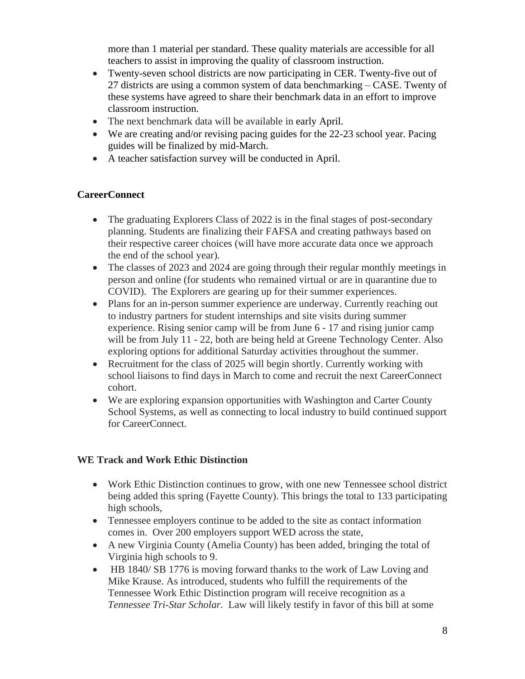more than 1 material per standard. These quality materials are accessible for all teachers to assist in improving the quality of classroom instruction.

- Twenty-seven school districts are now participating in CER. Twenty-five out of 27 districts are using a common system of data benchmarking – CASE. Twenty of these systems have agreed to share their benchmark data in an effort to improve classroom instruction.
- The next benchmark data will be available in early April.
- We are creating and/or revising pacing guides for the 22-23 school year. Pacing guides will be finalized by mid-March.
- A teacher satisfaction survey will be conducted in April.

# **CareerConnect**

- The graduating Explorers Class of 2022 is in the final stages of post-secondary planning. Students are finalizing their FAFSA and creating pathways based on their respective career choices (will have more accurate data once we approach the end of the school year).
- The classes of 2023 and 2024 are going through their regular monthly meetings in person and online (for students who remained virtual or are in quarantine due to COVID). The Explorers are gearing up for their summer experiences.
- Plans for an in-person summer experience are underway. Currently reaching out to industry partners for student internships and site visits during summer experience. Rising senior camp will be from June 6 - 17 and rising junior camp will be from July 11 - 22, both are being held at Greene Technology Center. Also exploring options for additional Saturday activities throughout the summer.
- Recruitment for the class of 2025 will begin shortly. Currently working with school liaisons to find days in March to come and recruit the next CareerConnect cohort.
- We are exploring expansion opportunities with Washington and Carter County School Systems, as well as connecting to local industry to build continued support for CareerConnect.

# **WE Track and Work Ethic Distinction**

- Work Ethic Distinction continues to grow, with one new Tennessee school district being added this spring (Fayette County). This brings the total to 133 participating high schools,
- Tennessee employers continue to be added to the site as contact information comes in. Over 200 employers support WED across the state,
- A new Virginia County (Amelia County) has been added, bringing the total of Virginia high schools to 9.
- HB 1840/SB 1776 is moving forward thanks to the work of Law Loving and Mike Krause. As introduced, students who fulfill the requirements of the Tennessee Work Ethic Distinction program will receive recognition as a *Tennessee Tri-Star Scholar.* Law will likely testify in favor of this bill at some